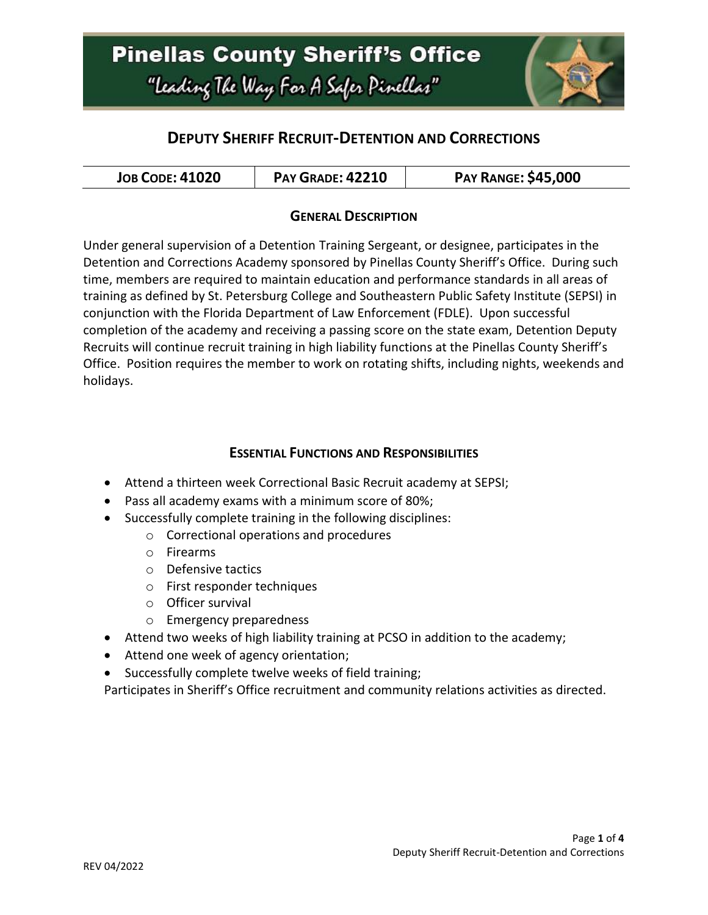# **Pinellas County Sheriff's Office** "Leading The Way For A Safer Pinellar"



## **DEPUTY SHERIFF RECRUIT-DETENTION AND CORRECTIONS**

| <b>JOB CODE: 41020</b> | <b>PAY GRADE: 42210</b> | <b>PAY RANGE: \$45,000</b> |
|------------------------|-------------------------|----------------------------|
|------------------------|-------------------------|----------------------------|

#### **GENERAL DESCRIPTION**

Under general supervision of a Detention Training Sergeant, or designee, participates in the Detention and Corrections Academy sponsored by Pinellas County Sheriff's Office. During such time, members are required to maintain education and performance standards in all areas of training as defined by St. Petersburg College and Southeastern Public Safety Institute (SEPSI) in conjunction with the Florida Department of Law Enforcement (FDLE). Upon successful completion of the academy and receiving a passing score on the state exam, Detention Deputy Recruits will continue recruit training in high liability functions at the Pinellas County Sheriff's Office. Position requires the member to work on rotating shifts, including nights, weekends and holidays.

#### **ESSENTIAL FUNCTIONS AND RESPONSIBILITIES**

- Attend a thirteen week Correctional Basic Recruit academy at SEPSI;
- Pass all academy exams with a minimum score of 80%;
- Successfully complete training in the following disciplines:
	- o Correctional operations and procedures
	- o Firearms
	- o Defensive tactics
	- o First responder techniques
	- o Officer survival
	- o Emergency preparedness
- Attend two weeks of high liability training at PCSO in addition to the academy;
- Attend one week of agency orientation;
- Successfully complete twelve weeks of field training;

Participates in Sheriff's Office recruitment and community relations activities as directed.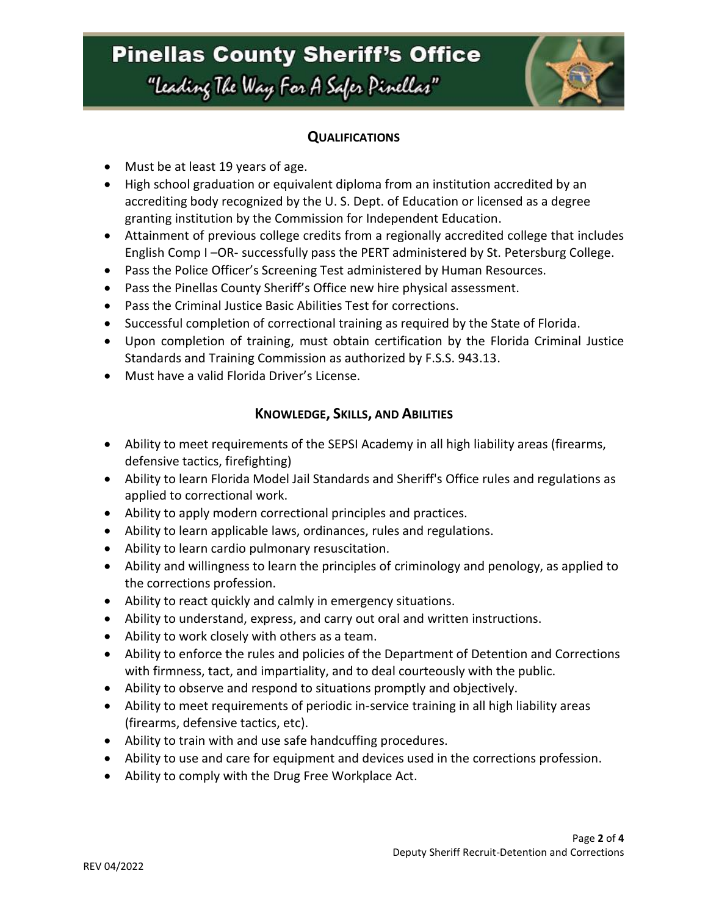# **Pinellas County Sheriff's Office** "Leading The Way For A Safer Pinellar"



#### **QUALIFICATIONS**

- Must be at least 19 years of age.
- High school graduation or equivalent diploma from an institution accredited by an accrediting body recognized by the U. S. Dept. of Education or licensed as a degree granting institution by the Commission for Independent Education.
- Attainment of previous college credits from a regionally accredited college that includes English Comp I –OR- successfully pass the PERT administered by St. Petersburg College.
- Pass the Police Officer's Screening Test administered by Human Resources.
- Pass the Pinellas County Sheriff's Office new hire physical assessment.
- Pass the Criminal Justice Basic Abilities Test for corrections.
- Successful completion of correctional training as required by the State of Florida.
- Upon completion of training, must obtain certification by the Florida Criminal Justice Standards and Training Commission as authorized by F.S.S. 943.13.
- Must have a valid Florida Driver's License.

### **KNOWLEDGE, SKILLS, AND ABILITIES**

- Ability to meet requirements of the SEPSI Academy in all high liability areas (firearms, defensive tactics, firefighting)
- Ability to learn Florida Model Jail Standards and Sheriff's Office rules and regulations as applied to correctional work.
- Ability to apply modern correctional principles and practices.
- Ability to learn applicable laws, ordinances, rules and regulations.
- Ability to learn cardio pulmonary resuscitation.
- Ability and willingness to learn the principles of criminology and penology, as applied to the corrections profession.
- Ability to react quickly and calmly in emergency situations.
- Ability to understand, express, and carry out oral and written instructions.
- Ability to work closely with others as a team.
- Ability to enforce the rules and policies of the Department of Detention and Corrections with firmness, tact, and impartiality, and to deal courteously with the public.
- Ability to observe and respond to situations promptly and objectively.
- Ability to meet requirements of periodic in-service training in all high liability areas (firearms, defensive tactics, etc).
- Ability to train with and use safe handcuffing procedures.
- Ability to use and care for equipment and devices used in the corrections profession.
- Ability to comply with the Drug Free Workplace Act.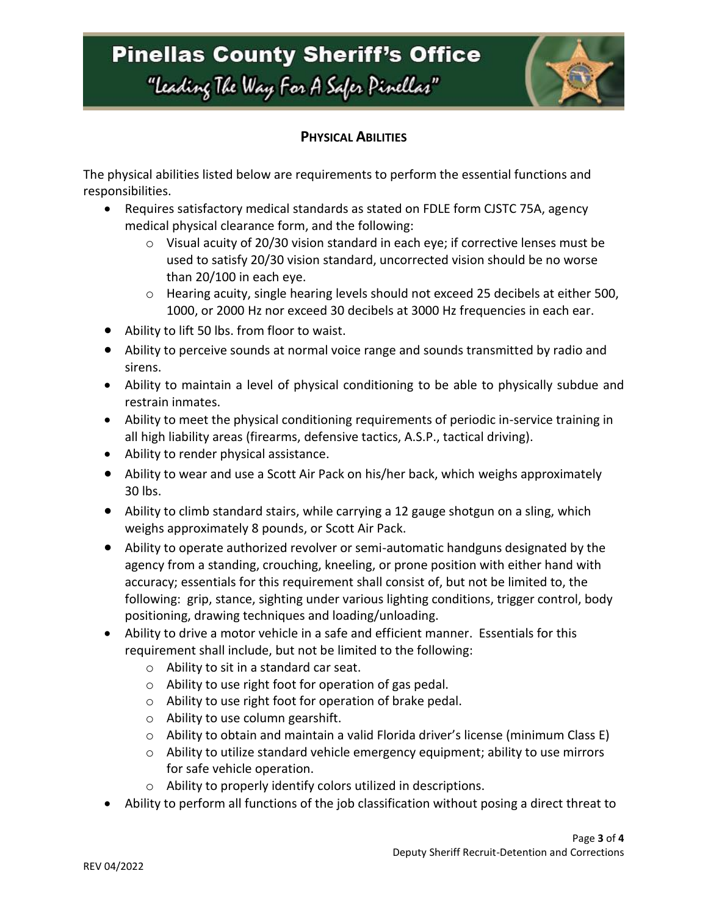# **Pinellas County Sheriff's Office** "Leading The Way For A Safer Pinellar"



### **PHYSICAL ABILITIES**

The physical abilities listed below are requirements to perform the essential functions and responsibilities.

- Requires satisfactory medical standards as stated on FDLE form CJSTC 75A, agency medical physical clearance form, and the following:
	- $\circ$  Visual acuity of 20/30 vision standard in each eye; if corrective lenses must be used to satisfy 20/30 vision standard, uncorrected vision should be no worse than 20/100 in each eye.
	- o Hearing acuity, single hearing levels should not exceed 25 decibels at either 500, 1000, or 2000 Hz nor exceed 30 decibels at 3000 Hz frequencies in each ear.
- Ability to lift 50 lbs. from floor to waist.
- Ability to perceive sounds at normal voice range and sounds transmitted by radio and sirens.
- Ability to maintain a level of physical conditioning to be able to physically subdue and restrain inmates.
- Ability to meet the physical conditioning requirements of periodic in-service training in all high liability areas (firearms, defensive tactics, A.S.P., tactical driving).
- Ability to render physical assistance.
- Ability to wear and use a Scott Air Pack on his/her back, which weighs approximately 30 lbs.
- Ability to climb standard stairs, while carrying a 12 gauge shotgun on a sling, which weighs approximately 8 pounds, or Scott Air Pack.
- Ability to operate authorized revolver or semi-automatic handguns designated by the agency from a standing, crouching, kneeling, or prone position with either hand with accuracy; essentials for this requirement shall consist of, but not be limited to, the following: grip, stance, sighting under various lighting conditions, trigger control, body positioning, drawing techniques and loading/unloading.
- Ability to drive a motor vehicle in a safe and efficient manner. Essentials for this requirement shall include, but not be limited to the following:
	- o Ability to sit in a standard car seat.
	- o Ability to use right foot for operation of gas pedal.
	- o Ability to use right foot for operation of brake pedal.
	- o Ability to use column gearshift.
	- $\circ$  Ability to obtain and maintain a valid Florida driver's license (minimum Class E)
	- $\circ$  Ability to utilize standard vehicle emergency equipment; ability to use mirrors for safe vehicle operation.
	- o Ability to properly identify colors utilized in descriptions.
- Ability to perform all functions of the job classification without posing a direct threat to